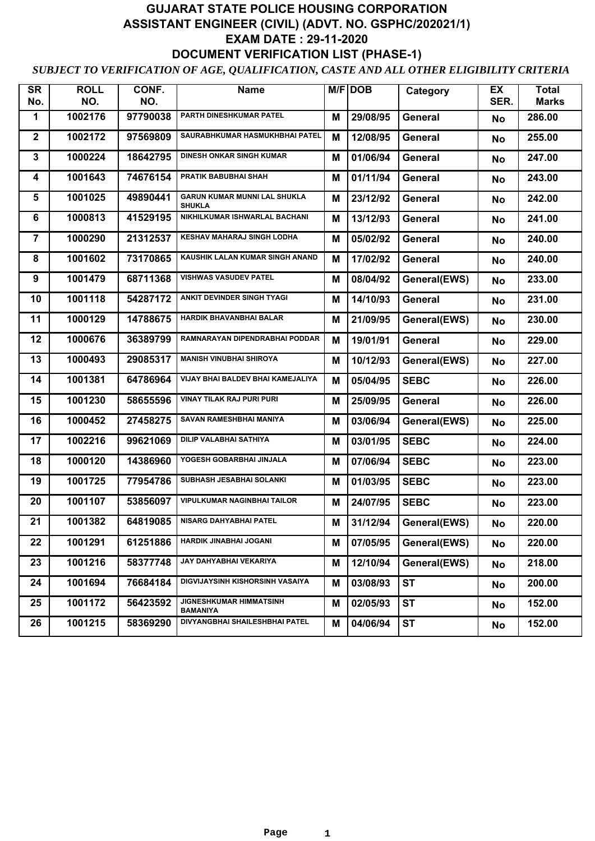## **GUJARAT STATE POLICE HOUSING CORPORATION ASSISTANT ENGINEER (CIVIL) (ADVT. NO. GSPHC/202021/1) EXAM DATE : 29-11-2020 DOCUMENT VERIFICATION LIST (PHASE-1)**

## *SUBJECT TO VERIFICATION OF AGE, QUALIFICATION, CASTE AND ALL OTHER ELIGIBILITY CRITERIA*

| <b>SR</b><br>No. | <b>ROLL</b><br>NO. | CONF.<br>NO. | Name                                                 |   | $M/F$ DOB | Category       | EX<br>SER. | <b>Total</b><br><b>Marks</b> |
|------------------|--------------------|--------------|------------------------------------------------------|---|-----------|----------------|------------|------------------------------|
| 1                | 1002176            | 97790038     | PARTH DINESHKUMAR PATEL                              | Μ | 29/08/95  | General        | <b>No</b>  | 286.00                       |
| $\mathbf 2$      | 1002172            | 97569809     | SAURABHKUMAR HASMUKHBHAI PATEL                       | M | 12/08/95  | General        | <b>No</b>  | 255.00                       |
| $\mathbf 3$      | 1000224            | 18642795     | <b>DINESH ONKAR SINGH KUMAR</b>                      | M | 01/06/94  | General        | <b>No</b>  | 247.00                       |
| 4                | 1001643            | 74676154     | <b>PRATIK BABUBHAI SHAH</b>                          |   |           |                |            |                              |
|                  |                    |              |                                                      | M | 01/11/94  | General        | <b>No</b>  | 243.00                       |
| 5                | 1001025            | 49890441     | <b>GARUN KUMAR MUNNI LAL SHUKLA</b><br><b>SHUKLA</b> | M | 23/12/92  | General        | <b>No</b>  | 242.00                       |
| 6                | 1000813            | 41529195     | NIKHILKUMAR ISHWARLAL BACHANI                        | M | 13/12/93  | General        | No         | 241.00                       |
| $\overline{7}$   | 1000290            | 21312537     | <b>KESHAV MAHARAJ SINGH LODHA</b>                    | M | 05/02/92  | General        | <b>No</b>  | 240.00                       |
| 8                | 1001602            | 73170865     | KAUSHIK LALAN KUMAR SINGH ANAND                      | Μ | 17/02/92  | General        | <b>No</b>  | 240.00                       |
| 9                | 1001479            | 68711368     | <b>VISHWAS VASUDEV PATEL</b>                         | M | 08/04/92  | General(EWS)   | <b>No</b>  | 233.00                       |
| 10               | 1001118            | 54287172     | ANKIT DEVINDER SINGH TYAGI                           | M | 14/10/93  | General        | <b>No</b>  | 231.00                       |
| 11               | 1000129            | 14788675     | <b>HARDIK BHAVANBHAI BALAR</b>                       | Μ | 21/09/95  | General(EWS)   | No         | 230.00                       |
| 12               | 1000676            | 36389799     | RAMNARAYAN DIPENDRABHAI PODDAR                       | M | 19/01/91  | <b>General</b> | <b>No</b>  | 229.00                       |
| 13               | 1000493            | 29085317     | <b>MANISH VINUBHAI SHIROYA</b>                       | Μ | 10/12/93  | General(EWS)   | <b>No</b>  | 227.00                       |
| 14               | 1001381            | 64786964     | VIJAY BHAI BALDEV BHAI KAMEJALIYA                    | M | 05/04/95  | <b>SEBC</b>    | <b>No</b>  | 226.00                       |
| 15               | 1001230            | 58655596     | <b>VINAY TILAK RAJ PURI PURI</b>                     | M | 25/09/95  | General        | <b>No</b>  | 226.00                       |
| 16               | 1000452            | 27458275     | SAVAN RAMESHBHAI MANIYA                              | M | 03/06/94  | General(EWS)   | <b>No</b>  | 225.00                       |
| 17               | 1002216            | 99621069     | <b>DILIP VALABHAI SATHIYA</b>                        | M | 03/01/95  | <b>SEBC</b>    | <b>No</b>  | 224.00                       |
| 18               | 1000120            | 14386960     | YOGESH GOBARBHAI JINJALA                             | M | 07/06/94  | <b>SEBC</b>    | <b>No</b>  | 223.00                       |
| 19               | 1001725            | 77954786     | SUBHASH JESABHAI SOLANKI                             | M | 01/03/95  | <b>SEBC</b>    | No         | 223.00                       |
| 20               | 1001107            | 53856097     | <b>VIPULKUMAR NAGINBHAI TAILOR</b>                   | M | 24/07/95  | <b>SEBC</b>    | <b>No</b>  | 223.00                       |
| 21               | 1001382            | 64819085     | <b>NISARG DAHYABHAI PATEL</b>                        | M | 31/12/94  | General(EWS)   | No         | 220.00                       |
| 22               | 1001291            | 61251886     | HARDIK JINABHAI JOGANI                               | M | 07/05/95  | General(EWS)   | <b>No</b>  | 220.00                       |
| 23               | 1001216            | 58377748     | JAY DAHYABHAI VEKARIYA                               | M | 12/10/94  | General(EWS)   | <b>No</b>  | 218.00                       |
| 24               | 1001694            | 76684184     | DIGVIJAYSINH KISHORSINH VASAIYA                      | M | 03/08/93  | <b>ST</b>      | No         | 200.00                       |
| 25               | 1001172            | 56423592     | <b>JIGNESHKUMAR HIMMATSINH</b><br><b>BAMANIYA</b>    | M | 02/05/93  | <b>ST</b>      | No         | 152.00                       |
| 26               | 1001215            | 58369290     | DIVYANGBHAI SHAILESHBHAI PATEL                       | Μ | 04/06/94  | <b>ST</b>      | No         | 152.00                       |